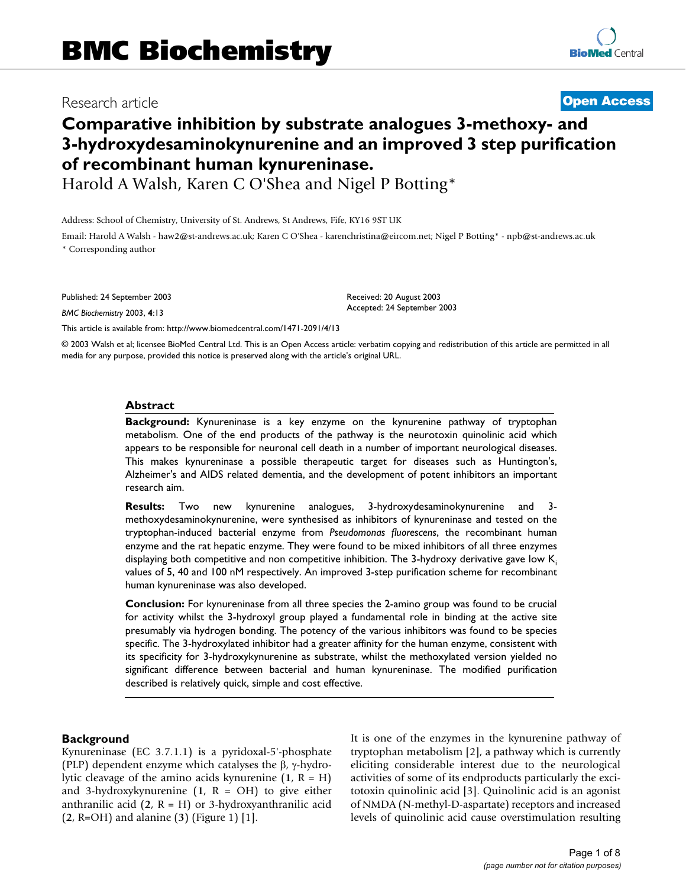# Research article **[Open Access](http://www.biomedcentral.com/info/about/charter/)**

# **Comparative inhibition by substrate analogues 3-methoxy- and 3-hydroxydesaminokynurenine and an improved 3 step purification of recombinant human kynureninase.**

Harold A Walsh, Karen C O'Shea and Nigel P Botting\*

Address: School of Chemistry, University of St. Andrews, St Andrews, Fife, KY16 9ST UK

Email: Harold A Walsh - haw2@st-andrews.ac.uk; Karen C O'Shea - karenchristina@eircom.net; Nigel P Botting\* - npb@st-andrews.ac.uk \* Corresponding author

Published: 24 September 2003

*BMC Biochemistry* 2003, **4**:13

[This article is available from: http://www.biomedcentral.com/1471-2091/4/13](http://www.biomedcentral.com/1471-2091/4/13)

© 2003 Walsh et al; licensee BioMed Central Ltd. This is an Open Access article: verbatim copying and redistribution of this article are permitted in all media for any purpose, provided this notice is preserved along with the article's original URL.

Received: 20 August 2003 Accepted: 24 September 2003

### **Abstract**

**Background:** Kynureninase is a key enzyme on the kynurenine pathway of tryptophan metabolism. One of the end products of the pathway is the neurotoxin quinolinic acid which appears to be responsible for neuronal cell death in a number of important neurological diseases. This makes kynureninase a possible therapeutic target for diseases such as Huntington's, Alzheimer's and AIDS related dementia, and the development of potent inhibitors an important research aim.

**Results:** Two new kynurenine analogues, 3-hydroxydesaminokynurenine and 3 methoxydesaminokynurenine, were synthesised as inhibitors of kynureninase and tested on the tryptophan-induced bacterial enzyme from *Pseudomonas fluorescens*, the recombinant human enzyme and the rat hepatic enzyme. They were found to be mixed inhibitors of all three enzymes displaying both competitive and non competitive inhibition. The 3-hydroxy derivative gave low  $K_i$ values of 5, 40 and 100 nM respectively. An improved 3-step purification scheme for recombinant human kynureninase was also developed.

**Conclusion:** For kynureninase from all three species the 2-amino group was found to be crucial for activity whilst the 3-hydroxyl group played a fundamental role in binding at the active site presumably via hydrogen bonding. The potency of the various inhibitors was found to be species specific. The 3-hydroxylated inhibitor had a greater affinity for the human enzyme, consistent with its specificity for 3-hydroxykynurenine as substrate, whilst the methoxylated version yielded no significant difference between bacterial and human kynureninase. The modified purification described is relatively quick, simple and cost effective.

### **Background**

Kynureninase (EC 3.7.1.1) is a pyridoxal-5'-phosphate (PLP) dependent enzyme which catalyses the β, γ-hydrolytic cleavage of the amino acids kynurenine  $(1, R = H)$ and 3-hydroxykynurenine  $(1, R = OH)$  to give either anthranilic acid (**2**, R = H) or 3-hydroxyanthranilic acid (**2**, R=OH) and alanine (**3**) (Figure [1](#page-1-0)) [1].

It is one of the enzymes in the kynurenine pathway of tryptophan metabolism [2], a pathway which is currently eliciting considerable interest due to the neurological activities of some of its endproducts particularly the excitotoxin quinolinic acid [3]. Quinolinic acid is an agonist of NMDA (N-methyl-D-aspartate) receptors and increased levels of quinolinic acid cause overstimulation resulting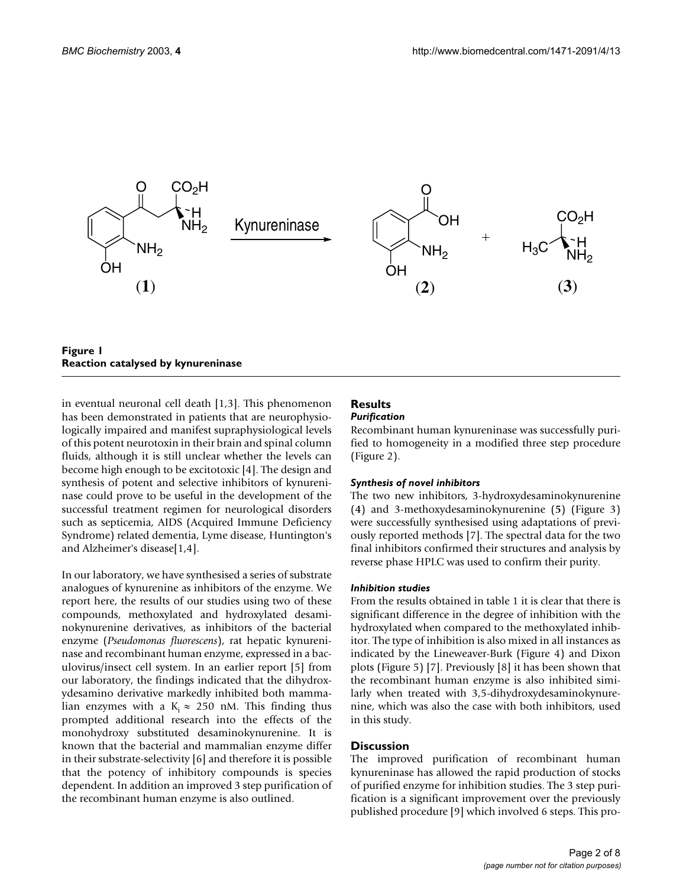<span id="page-1-0"></span>

## **Figure 1 Reaction catalysed by kynureninase**

in eventual neuronal cell death [1,3]. This phenomenon has been demonstrated in patients that are neurophysiologically impaired and manifest supraphysiological levels of this potent neurotoxin in their brain and spinal column fluids, although it is still unclear whether the levels can become high enough to be excitotoxic [4]. The design and synthesis of potent and selective inhibitors of kynureninase could prove to be useful in the development of the successful treatment regimen for neurological disorders such as septicemia, AIDS (Acquired Immune Deficiency Syndrome) related dementia, Lyme disease, Huntington's and Alzheimer's disease[1,4].

In our laboratory, we have synthesised a series of substrate analogues of kynurenine as inhibitors of the enzyme. We report here, the results of our studies using two of these compounds, methoxylated and hydroxylated desaminokynurenine derivatives, as inhibitors of the bacterial enzyme (*Pseudomonas fluorescens*), rat hepatic kynureninase and recombinant human enzyme, expressed in a baculovirus/insect cell system. In an earlier report [5] from our laboratory, the findings indicated that the dihydroxydesamino derivative markedly inhibited both mammalian enzymes with a K<sub>i</sub>  $\approx$  250 nM. This finding thus prompted additional research into the effects of the monohydroxy substituted desaminokynurenine. It is known that the bacterial and mammalian enzyme differ in their substrate-selectivity [6] and therefore it is possible that the potency of inhibitory compounds is species dependent. In addition an improved 3 step purification of the recombinant human enzyme is also outlined.

#### **Results** *Purification*

Recombinant human kynureninase was successfully purified to homogeneity in a modified three step procedure (Figure [2\)](#page-2-0).

# *Synthesis of novel inhibitors*

The two new inhibitors, 3-hydroxydesaminokynurenine (**4**) and 3-methoxydesaminokynurenine (**5**) (Figure [3](#page-2-1)) were successfully synthesised using adaptations of previously reported methods [7]. The spectral data for the two final inhibitors confirmed their structures and analysis by reverse phase HPLC was used to confirm their purity.

### *Inhibition studies*

From the results obtained in table [1](#page-2-2) it is clear that there is significant difference in the degree of inhibition with the hydroxylated when compared to the methoxylated inhibitor. The type of inhibition is also mixed in all instances as indicated by the Lineweaver-Burk (Figure 4) and Dixon plots (Figure 5) [7]. Previously [8] it has been shown that the recombinant human enzyme is also inhibited similarly when treated with 3,5-dihydroxydesaminokynurenine, which was also the case with both inhibitors, used in this study.

# **Discussion**

The improved purification of recombinant human kynureninase has allowed the rapid production of stocks of purified enzyme for inhibition studies. The 3 step purification is a significant improvement over the previously published procedure [9] which involved 6 steps. This pro-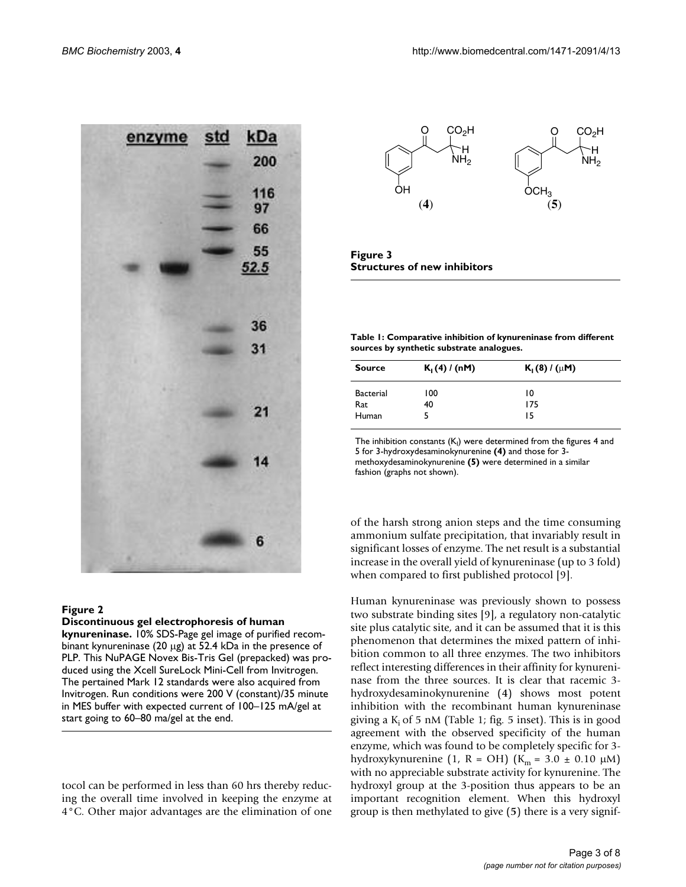<span id="page-2-0"></span>

### **Figure 2**

#### **Discontinuous gel electrophoresis of human**

**kynureninase.** 10% SDS-Page gel image of purified recombinant kynureninase (20 µg) at 52.4 kDa in the presence of PLP. This NuPAGE Novex Bis-Tris Gel (prepacked) was produced using the Xcell SureLock Mini-Cell from Invitrogen. The pertained Mark 12 standards were also acquired from Invitrogen. Run conditions were 200 V (constant)/35 minute in MES buffer with expected current of 100–125 mA/gel at start going to 60–80 ma/gel at the end.

tocol can be performed in less than 60 hrs thereby reducing the overall time involved in keeping the enzyme at 4°C. Other major advantages are the elimination of one

<span id="page-2-1"></span>

**Figure 3 Structures of new inhibitors**

<span id="page-2-2"></span>**Table 1: Comparative inhibition of kynureninase from different sources by synthetic substrate analogues.**

| <b>Source</b>    | $K_1(4) / (nM)$ | $K_1(8) / (\mu M)$ |  |
|------------------|-----------------|--------------------|--|
| <b>Bacterial</b> | 100             | 10                 |  |
| Rat              | 40              | 175                |  |
| Human            | ╮               | 15                 |  |

The inhibition constants  $(\mathsf{K}_{\mathsf{I}})$  were determined from the figures 4 and 5 for 3-hydroxydesaminokynurenine **(4)** and those for 3 methoxydesaminokynurenine **(5)** were determined in a similar fashion (graphs not shown).

of the harsh strong anion steps and the time consuming ammonium sulfate precipitation, that invariably result in significant losses of enzyme. The net result is a substantial increase in the overall yield of kynureninase (up to 3 fold) when compared to first published protocol [9].

Human kynureninase was previously shown to possess two substrate binding sites [9], a regulatory non-catalytic site plus catalytic site, and it can be assumed that it is this phenomenon that determines the mixed pattern of inhibition common to all three enzymes. The two inhibitors reflect interesting differences in their affinity for kynureninase from the three sources. It is clear that racemic 3 hydroxydesaminokynurenine (**4**) shows most potent inhibition with the recombinant human kynureninase giving a  $K_i$  of 5 nM (Table [1;](#page-2-2) fig. 5 inset). This is in good agreement with the observed specificity of the human enzyme, which was found to be completely specific for 3 hydroxykynurenine (1, R = OH) ( $K_m$  = 3.0  $\pm$  0.10  $\mu$ M) with no appreciable substrate activity for kynurenine. The hydroxyl group at the 3-position thus appears to be an important recognition element. When this hydroxyl group is then methylated to give (**5**) there is a very signif-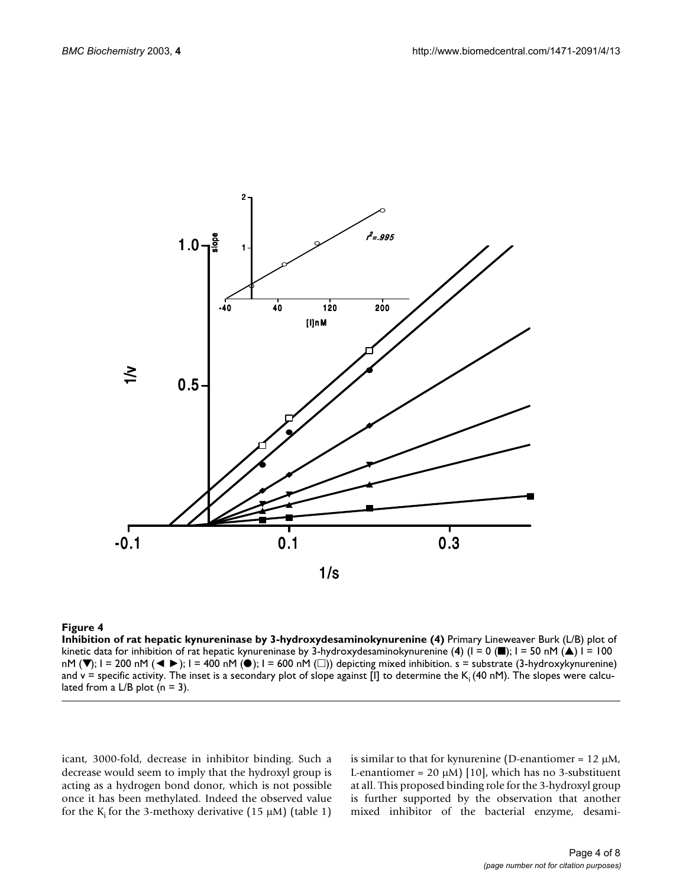

#### Figure 4

**Inhibition of rat hepatic kynureninase by 3-hydroxydesaminokynurenine (4)** Primary Lineweaver Burk (L/B) plot of kinetic data for inhibition of rat hepatic kynureninase by 3-hydroxydesaminokynurenine (**4**) (I = 0 (■); I = 50 nM (▲) I = 100 nM ( $\Pi$ ); I = 200 nM ( $\Pi$ ); I = 400 nM ( $\Box$ ); I = 600 nM ( $\Box$ )) depicting mixed inhibition. s = substrate (3-hydroxykynurenine) and v = specific activity. The inset is a secondary plot of slope against [I] to determine the  $K_i$  (40 nM). The slopes were calculated from a L/B plot  $(n = 3)$ .

icant, 3000-fold, decrease in inhibitor binding. Such a decrease would seem to imply that the hydroxyl group is acting as a hydrogen bond donor, which is not possible once it has been methylated. Indeed the observed value for the K<sub>i</sub> for the 3-methoxy derivative ([1](#page-2-2)5  $\mu$ M) (table 1) is similar to that for kynurenine (D-enantiomer =  $12 \mu M$ , L-enantiomer = 20  $\mu$ M) [10], which has no 3-substituent at all. This proposed binding role for the 3-hydroxyl group is further supported by the observation that another mixed inhibitor of the bacterial enzyme, desami-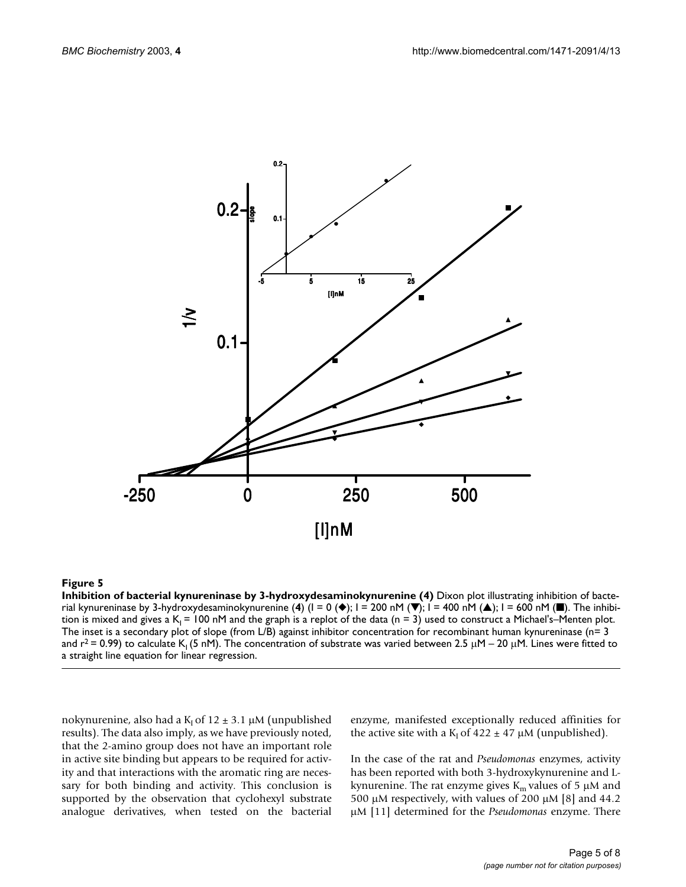

#### Figure 5

**Inhibition of bacterial kynureninase by 3-hydroxydesaminokynurenine (4)** Dixon plot illustrating inhibition of bacterial kynureninase by 3-hydroxydesaminokynurenine (**4**) (I = 0 (◆); I = 200 nM (▼); I = 400 nM (▲); I = 600 nM (■). The inhibition is mixed and gives a  $K_1 = 100$  nM and the graph is a replot of the data (n = 3) used to construct a Michael's–Menten plot. The inset is a secondary plot of slope (from L/B) against inhibitor concentration for recombinant human kynureninase ( $n=3$ ) and r<sup>2</sup> = 0.99) to calculate K<sub>1</sub> (5 nM). The concentration of substrate was varied between 2.5  $\mu$ M – 20  $\mu$ M. Lines were fitted to a straight line equation for linear regression.

nokynurenine, also had a  $K_I$  of 12  $\pm$  3.1 µM (unpublished results). The data also imply, as we have previously noted, that the 2-amino group does not have an important role in active site binding but appears to be required for activity and that interactions with the aromatic ring are necessary for both binding and activity. This conclusion is supported by the observation that cyclohexyl substrate analogue derivatives, when tested on the bacterial

enzyme, manifested exceptionally reduced affinities for the active site with a  $K_1$  of 422  $\pm$  47  $\mu$ M (unpublished).

In the case of the rat and *Pseudomonas* enzymes, activity has been reported with both 3-hydroxykynurenine and Lkynurenine. The rat enzyme gives  $K_m$  values of 5  $\mu$ M and 500  $\mu$ M respectively, with values of 200  $\mu$ M [8] and 44.2 µM [11] determined for the *Pseudomonas* enzyme. There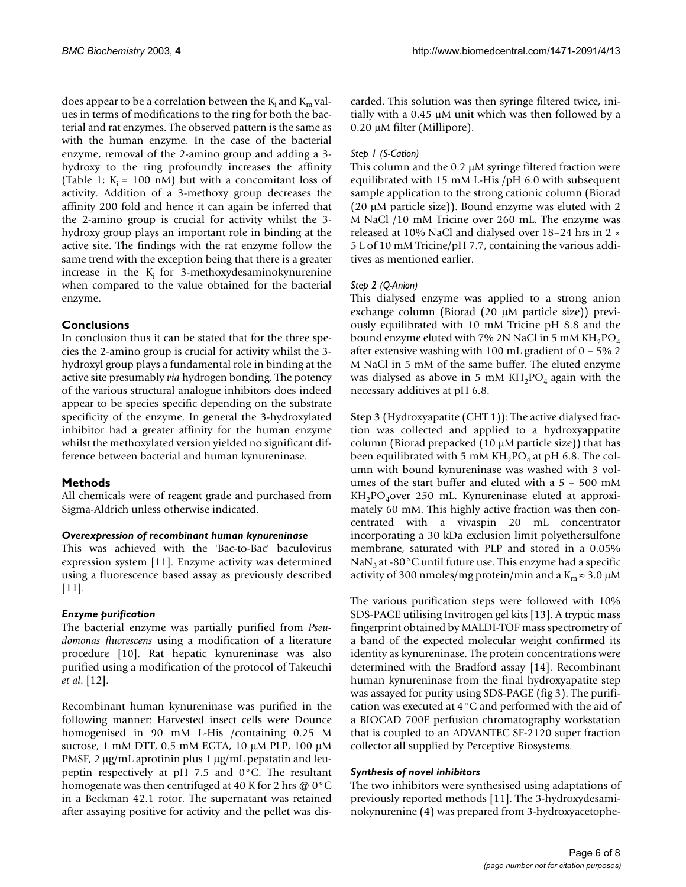does appear to be a correlation between the  $K_i$  and  $K_m$  values in terms of modifications to the ring for both the bacterial and rat enzymes. The observed pattern is the same as with the human enzyme. In the case of the bacterial enzyme, removal of the 2-amino group and adding a 3 hydroxy to the ring profoundly increases the affinity (Table [1](#page-2-2);  $K_i = 100$  nM) but with a concomitant loss of activity. Addition of a 3-methoxy group decreases the affinity 200 fold and hence it can again be inferred that the 2-amino group is crucial for activity whilst the 3 hydroxy group plays an important role in binding at the active site. The findings with the rat enzyme follow the same trend with the exception being that there is a greater increase in the  $K_i$  for 3-methoxydesaminokynurenine when compared to the value obtained for the bacterial enzyme.

# **Conclusions**

In conclusion thus it can be stated that for the three species the 2-amino group is crucial for activity whilst the 3 hydroxyl group plays a fundamental role in binding at the active site presumably *via* hydrogen bonding. The potency of the various structural analogue inhibitors does indeed appear to be species specific depending on the substrate specificity of the enzyme. In general the 3-hydroxylated inhibitor had a greater affinity for the human enzyme whilst the methoxylated version yielded no significant difference between bacterial and human kynureninase.

# **Methods**

All chemicals were of reagent grade and purchased from Sigma-Aldrich unless otherwise indicated.

# *Overexpression of recombinant human kynureninase*

This was achieved with the 'Bac-to-Bac' baculovirus expression system [11]. Enzyme activity was determined using a fluorescence based assay as previously described [11].

# *Enzyme purification*

The bacterial enzyme was partially purified from *Pseudomonas fluorescens* using a modification of a literature procedure [10]. Rat hepatic kynureninase was also purified using a modification of the protocol of Takeuchi *et al*. [12].

Recombinant human kynureninase was purified in the following manner: Harvested insect cells were Dounce homogenised in 90 mM L-His /containing 0.25 M sucrose, 1 mM DTT, 0.5 mM EGTA, 10 µM PLP, 100 µM PMSF, 2  $\mu$ g/mL aprotinin plus 1  $\mu$ g/mL pepstatin and leupeptin respectively at pH 7.5 and 0°C. The resultant homogenate was then centrifuged at 40 K for 2 hrs  $@0^{\circ}C$ in a Beckman 42.1 rotor. The supernatant was retained after assaying positive for activity and the pellet was discarded. This solution was then syringe filtered twice, initially with a 0.45 µM unit which was then followed by a 0.20 µM filter (Millipore).

# *Step 1 (S-Cation)*

This column and the  $0.2 \mu$ M syringe filtered fraction were equilibrated with 15 mM L-His /pH 6.0 with subsequent sample application to the strong cationic column (Biorad (20 µM particle size)). Bound enzyme was eluted with 2 M NaCl /10 mM Tricine over 260 mL. The enzyme was released at 10% NaCl and dialysed over 18–24 hrs in 2 × 5 L of 10 mM Tricine/pH 7.7, containing the various additives as mentioned earlier.

# *Step 2 (Q-Anion)*

This dialysed enzyme was applied to a strong anion exchange column (Biorad (20 µM particle size)) previously equilibrated with 10 mM Tricine pH 8.8 and the bound enzyme eluted with 7% 2N NaCl in 5 mM  $KH_2PO_4$ after extensive washing with 100 mL gradient of 0 – 5% 2 M NaCl in 5 mM of the same buffer. The eluted enzyme was dialysed as above in 5 mM  $KH_2PO_4$  again with the necessary additives at pH 6.8.

**Step 3** (Hydroxyapatite (CHT 1)): The active dialysed fraction was collected and applied to a hydroxyappatite column (Biorad prepacked (10 µM particle size)) that has been equilibrated with 5 mM  $KH_2PO_4$  at pH 6.8. The column with bound kynureninase was washed with 3 volumes of the start buffer and eluted with a 5 – 500 mM  $KH<sub>2</sub>PO<sub>4</sub> over 250 mL$ . Kynureninase eluted at approximately 60 mM. This highly active fraction was then concentrated with a vivaspin 20 mL concentrator incorporating a 30 kDa exclusion limit polyethersulfone membrane, saturated with PLP and stored in a 0.05%  $\text{NaN}_3$  at -80°C until future use. This enzyme had a specific activity of 300 nmoles/mg protein/min and a  $K_m \approx 3.0 \mu M$ 

The various purification steps were followed with 10% SDS-PAGE utilising Invitrogen gel kits [13]. A tryptic mass fingerprint obtained by MALDI-TOF mass spectrometry of a band of the expected molecular weight confirmed its identity as kynureninase. The protein concentrations were determined with the Bradford assay [14]. Recombinant human kynureninase from the final hydroxyapatite step was assayed for purity using SDS-PAGE (fig [3](#page-2-1)). The purification was executed at 4°C and performed with the aid of a BIOCAD 700E perfusion chromatography workstation that is coupled to an ADVANTEC SF-2120 super fraction collector all supplied by Perceptive Biosystems.

# *Synthesis of novel inhibitors*

The two inhibitors were synthesised using adaptations of previously reported methods [11]. The 3-hydroxydesaminokynurenine (**4**) was prepared from 3-hydroxyacetophe-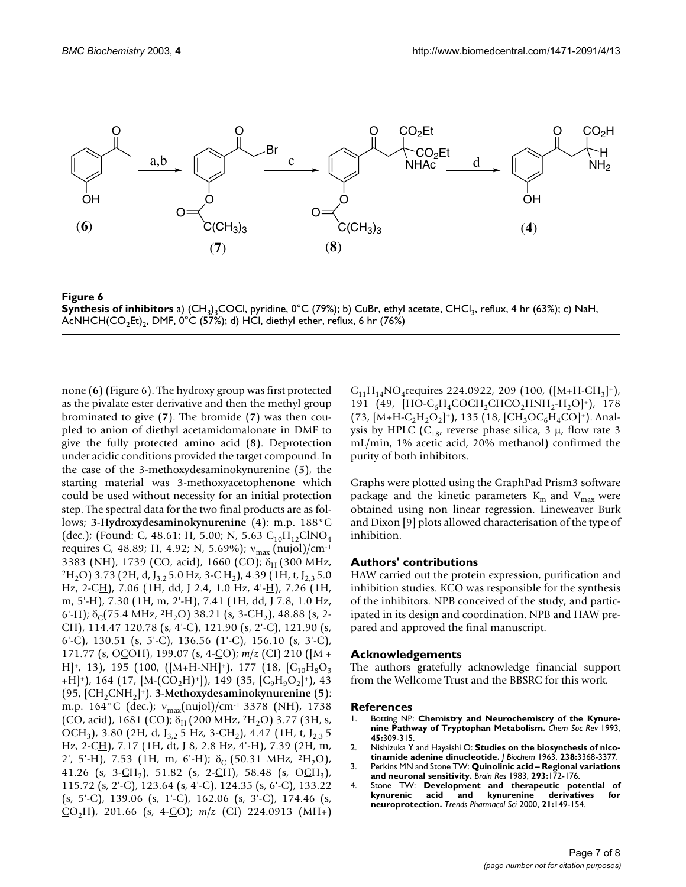

**Figure 6 Synthesis of inhibitors** a) (CH<sub>3</sub>)<sub>3</sub>COCl, pyridine, 0°C (79%); b) CuBr, ethyl acetate, CHCl<sub>3</sub>, reflux, 4 hr (63%); c) NaH, AcNHCH(CO<sub>2</sub>Et)<sub>2</sub>, DMF, 0°C (57%); d) HCl, diethyl ether, reflux, 6 hr (76%)

none (**6**) (Figure 6). The hydroxy group was first protected as the pivalate ester derivative and then the methyl group brominated to give (**7**). The bromide (**7**) was then coupled to anion of diethyl acetamidomalonate in DMF to give the fully protected amino acid (**8**). Deprotection under acidic conditions provided the target compound. In the case of the 3-methoxydesaminokynurenine (**5**), the starting material was 3-methoxyacetophenone which could be used without necessity for an initial protection step. The spectral data for the two final products are as follows; **3-Hydroxydesaminokynurenine** (**4**): m.p. 188°C (dec.); (Found: C, 48.61; H, 5.00; N, 5.63  $C_{10}H_{12}CINO_4$ requires C, 48.89; H, 4.92; N, 5.69%); ν<sub>max</sub> (nujol)/cm<sup>-1</sup> 3383 (NH), 1739 (CO, acid), 1660 (CO);  $\delta_{\rm H}$  (300 MHz,  $2H_2O$ ) 3.73 (2H, d, J<sub>3,2</sub> 5.0 Hz, 3-C H<sub>2</sub>), 4.39 (1H, t, J<sub>2,3</sub> 5.0) Hz, 2-CH), 7.06 (1H, dd, J 2.4, 1.0 Hz, 4'-H), 7.26 (1H, m, 5'-H), 7.30 (1H, m, 2'-H), 7.41 (1H, dd, J 7.8, 1.0 Hz, 6'-H);  $\delta_C$ (75.4 MHz, <sup>2</sup>H<sub>2</sub>O) 38.21 (s, 3-<u>CH<sub>2</sub>)</u>, 48.88 (s, 2-CH), 114.47 120.78 (s, 4'-C), 121.90 (s, 2'-C), 121.90 (s, 6'-C), 130.51 (s, 5'-C), 136.56 (1'-C), 156.10 (s, 3'-C), 171.77 (s, OCOH), 199.07 (s, 4-CO); *m*/*z* (CI) 210 ([M + H $\vert$ <sup>+</sup>, 13), 195 (100, ([M+H-NH $\vert$ <sup>+</sup>), 177 (18,  $\vert$ C<sub>10</sub>H<sub>8</sub>O<sub>3</sub> +H]<sup>+</sup>), 164 (17, [M-(CO<sub>2</sub>H)<sup>+</sup>]), 149 (35, [C<sub>9</sub>H<sub>9</sub>O<sub>2</sub>]<sup>+</sup>), 43 (95, [CH2CNH2]+). **3-Methoxydesaminokynurenine** (**5**): m.p. 164°C (dec.);  $v_{\text{max}}(\text{nujol})/\text{cm}^{-1}$  3378 (NH), 1738 (CO, acid), 1681 (CO);  $\delta_H$  (200 MHz, <sup>2</sup>H<sub>2</sub>O) 3.77 (3H, s, OCH<sub>3</sub>), 3.80 (2H, d, J<sub>3.2</sub> 5 Hz, 3-CH<sub>2</sub>), 4.47 (1H, t, J<sub>2.3</sub> 5 Hz, 2-CH), 7.17 (1H, dt, J 8, 2.8 Hz, 4'-H), 7.39 (2H, m, 2', 5'-H), 7.53 (1H, m, 6'-H);  $\delta_c$  (50.31 MHz, <sup>2</sup>H<sub>2</sub>O), 41.26 (s, 3- $CH_2$ ), 51.82 (s, 2- $CH$ ), 58.48 (s, O $CH_3$ ), 115.72 (s, 2'-C), 123.64 (s, 4'-C), 124.35 (s, 6'-C), 133.22 (s, 5'-C), 139.06 (s, 1'-C), 162.06 (s, 3'-C), 174.46 (s,  $CO<sub>2</sub>H$ , 201.66 (s, 4-CO);  $m/z$  (CI) 224.0913 (MH+)

 $C_{11}H_{14}NO_4$  requires 224.0922, 209 (100, ([M+H-CH<sub>3</sub>]<sup>+</sup>), 191 (49,  $[HO-C_6H_4COCH_2CHCO_2HNH_2-H_2O]^+$ ), 178  $(73, [M+H-C<sub>2</sub>H<sub>2</sub>O<sub>2</sub>]$ <sup>+</sup>), 135 (18, [CH<sub>3</sub>OC<sub>6</sub>H<sub>4</sub>CO]<sup>+</sup>). Analysis by HPLC ( $C_{18}$ , reverse phase silica, 3  $\mu$ , flow rate 3 mL/min, 1% acetic acid, 20% methanol) confirmed the purity of both inhibitors.

Graphs were plotted using the GraphPad Prism3 software package and the kinetic parameters  $K<sub>m</sub>$  and  $V<sub>max</sub>$  were obtained using non linear regression. Lineweaver Burk and Dixon [9] plots allowed characterisation of the type of inhibition.

### **Authors' contributions**

HAW carried out the protein expression, purification and inhibition studies. KCO was responsible for the synthesis of the inhibitors. NPB conceived of the study, and participated in its design and coordination. NPB and HAW prepared and approved the final manuscript.

#### **Acknowledgements**

The authors gratefully acknowledge financial support from the Wellcome Trust and the BBSRC for this work.

#### **References**

- 1. Botting NP: **Chemistry and Neurochemistry of the Kynurenine Pathway of Tryptophan Metabolism.** *Chem Soc Rev* 1993, **45:**309-315.
- 2. Nishizuka Y and Hayaishi O: **Studies on the biosynthesis of nicotinamide adenine dinucleotide.** *J Biochem* 1963, **238:**3368-3377.
- 3. Perkins MN and Stone TW: **[Quinolinic acid Regional variations](http://www.ncbi.nlm.nih.gov/entrez/query.fcgi?cmd=Retrieve&db=PubMed&dopt=Abstract&list_uids=10.1016/0006-8993(83)91084-3) [and neuronal sensitivity.](http://www.ncbi.nlm.nih.gov/entrez/query.fcgi?cmd=Retrieve&db=PubMed&dopt=Abstract&list_uids=10.1016/0006-8993(83)91084-3)** *Brain Res* 1983, **293:**172-176.
- 4. Stone TW: **[Development and therapeutic potential of](http://www.ncbi.nlm.nih.gov/entrez/query.fcgi?cmd=Retrieve&db=PubMed&dopt=Abstract&list_uids=10.1016/S0165-6147(00)01451-6)** kynurenic acid and kynurenine **[neuroprotection.](http://www.ncbi.nlm.nih.gov/entrez/query.fcgi?cmd=Retrieve&db=PubMed&dopt=Abstract&list_uids=10.1016/S0165-6147(00)01451-6)** *Trends Pharmacol Sci* 2000, **21:**149-154.